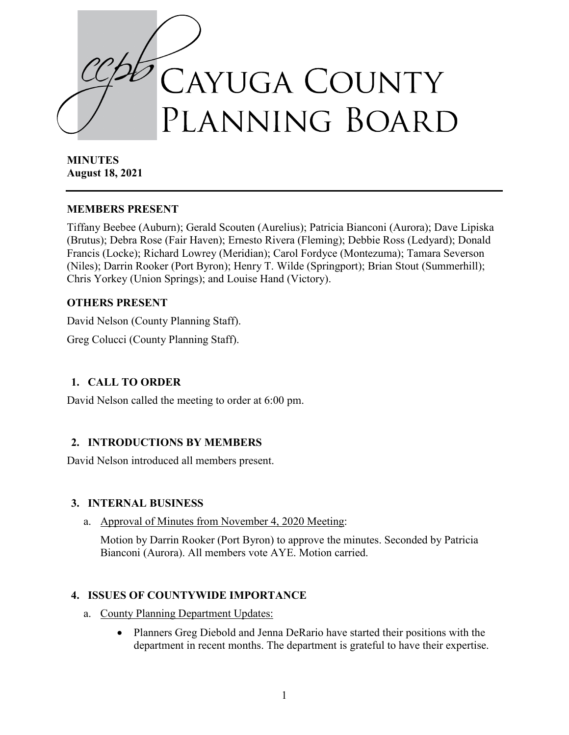

**MINUTES August 18, 2021**

#### **MEMBERS PRESENT**

Tiffany Beebee (Auburn); Gerald Scouten (Aurelius); Patricia Bianconi (Aurora); Dave Lipiska (Brutus); Debra Rose (Fair Haven); Ernesto Rivera (Fleming); Debbie Ross (Ledyard); Donald Francis (Locke); Richard Lowrey (Meridian); Carol Fordyce (Montezuma); Tamara Severson (Niles); Darrin Rooker (Port Byron); Henry T. Wilde (Springport); Brian Stout (Summerhill); Chris Yorkey (Union Springs); and Louise Hand (Victory).

# **OTHERS PRESENT**

David Nelson (County Planning Staff).

Greg Colucci (County Planning Staff).

# **1. CALL TO ORDER**

David Nelson called the meeting to order at 6:00 pm.

# **2. INTRODUCTIONS BY MEMBERS**

David Nelson introduced all members present.

# **3. INTERNAL BUSINESS**

a. Approval of Minutes from November 4, 2020 Meeting:

Motion by Darrin Rooker (Port Byron) to approve the minutes. Seconded by Patricia Bianconi (Aurora). All members vote AYE. Motion carried.

# **4. ISSUES OF COUNTYWIDE IMPORTANCE**

- a. County Planning Department Updates:
	- Planners Greg Diebold and Jenna DeRario have started their positions with the department in recent months. The department is grateful to have their expertise.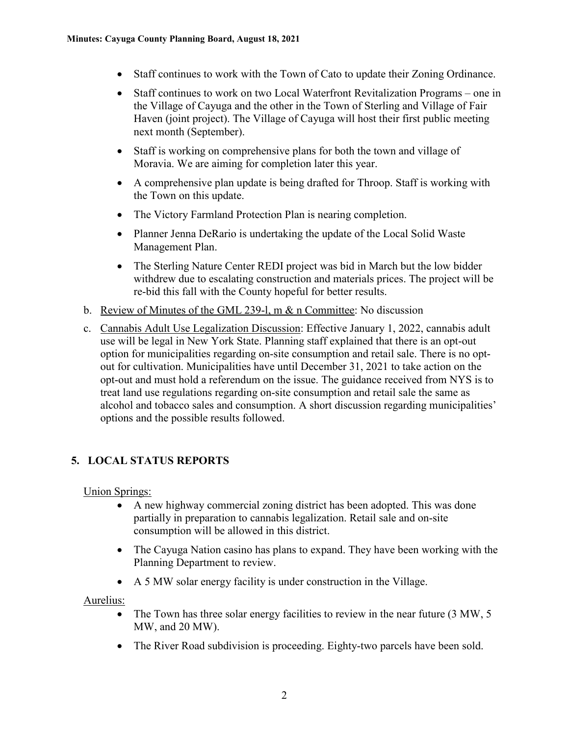- Staff continues to work with the Town of Cato to update their Zoning Ordinance.
- Staff continues to work on two Local Waterfront Revitalization Programs one in the Village of Cayuga and the other in the Town of Sterling and Village of Fair Haven (joint project). The Village of Cayuga will host their first public meeting next month (September).
- Staff is working on comprehensive plans for both the town and village of Moravia. We are aiming for completion later this year.
- A comprehensive plan update is being drafted for Throop. Staff is working with the Town on this update.
- The Victory Farmland Protection Plan is nearing completion.
- Planner Jenna DeRario is undertaking the update of the Local Solid Waste Management Plan.
- The Sterling Nature Center REDI project was bid in March but the low bidder withdrew due to escalating construction and materials prices. The project will be re-bid this fall with the County hopeful for better results.
- b. Review of Minutes of the GML 239-l, m & n Committee: No discussion
- c. Cannabis Adult Use Legalization Discussion: Effective January 1, 2022, cannabis adult use will be legal in New York State. Planning staff explained that there is an opt-out option for municipalities regarding on-site consumption and retail sale. There is no optout for cultivation. Municipalities have until December 31, 2021 to take action on the opt-out and must hold a referendum on the issue. The guidance received from NYS is to treat land use regulations regarding on-site consumption and retail sale the same as alcohol and tobacco sales and consumption. A short discussion regarding municipalities' options and the possible results followed.

# **5. LOCAL STATUS REPORTS**

# Union Springs:

- A new highway commercial zoning district has been adopted. This was done partially in preparation to cannabis legalization. Retail sale and on-site consumption will be allowed in this district.
- The Cayuga Nation casino has plans to expand. They have been working with the Planning Department to review.
- A 5 MW solar energy facility is under construction in the Village.

#### Aurelius:

- The Town has three solar energy facilities to review in the near future (3 MW, 5) MW, and 20 MW).
- The River Road subdivision is proceeding. Eighty-two parcels have been sold.